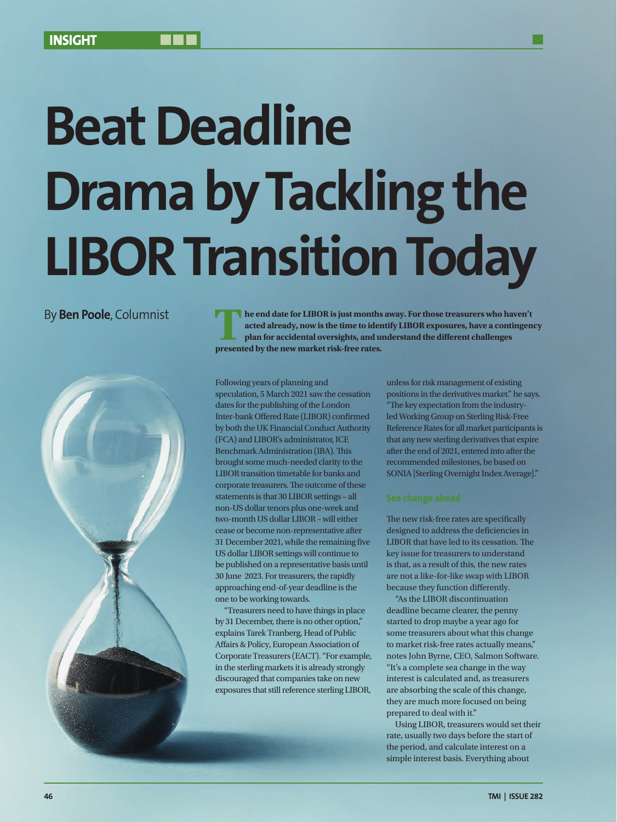# **Beat Deadline Drama by Tackling the LIBOR Transition Today**



By **Ben Poole**, Columnist **The end date for LIBOR is just months away. For those treasurers who haven't acted already, now is the time to identify LIBOR exposures, have a contingency plan for accidental oversights, and understand the different challenges presented by the new market risk-free rates.**

> Following years of planning and speculation, 5 March 2021 saw the cessation dates for the publishing of the London Inter-bank Offered Rate (LIBOR) confirmed by both the UK Financial Conduct Authority (FCA) and LIBOR's administrator, ICE Benchmark Administration (IBA). This brought some much-needed clarity to the LIBOR transition timetable for banks and corporate treasurers. The outcome of these statements is that 30 LIBOR settings – all non-US dollar tenors plus one-week and two-month US dollar LIBOR – will either cease or become non-representative after 31 December 2021, while the remaining five US dollar LIBOR settings will continue to be published on a representative basis until 30 June 2023. For treasurers, the rapidly approaching end-of-year deadline is the one to be working towards.

> "Treasurers need to have things in place by 31 December, there is no other option," explains Tarek Tranberg, Head of Public Affairs & Policy, European Association of Corporate Treasurers (EACT). "For example, in the sterling markets it is already strongly discouraged that companies take on new exposures that still reference sterling LIBOR,

unless for risk management of existing positions in the derivatives market." he says. "The key expectation from the industryled Working Group on Sterling Risk-Free Reference Rates for all market participants is that any new sterling derivatives that expire after the end of 2021, entered into after the recommended milestones, be based on SONIA [Sterling Overnight Index Average]."

The new risk-free rates are specifically designed to address the deficiencies in LIBOR that have led to its cessation. The key issue for treasurers to understand is that, as a result of this, the new rates are not a like-for-like swap with LIBOR because they function differently.

"As the LIBOR discontinuation deadline became clearer, the penny started to drop maybe a year ago for some treasurers about what this change to market risk-free rates actually means," notes John Byrne, CEO, Salmon Software. "It's a complete sea change in the way interest is calculated and, as treasurers are absorbing the scale of this change, they are much more focused on being prepared to deal with it."

Using LIBOR, treasurers would set their rate, usually two days before the start of the period, and calculate interest on a simple interest basis. Everything about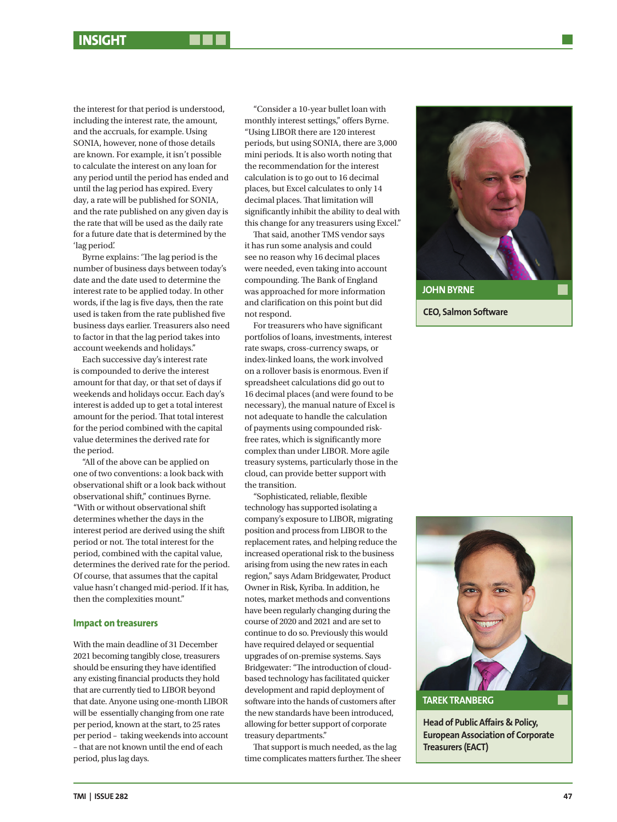the interest for that period is understood, including the interest rate, the amount, and the accruals, for example. Using SONIA, however, none of those details are known. For example, it isn't possible to calculate the interest on any loan for any period until the period has ended and until the lag period has expired. Every day, a rate will be published for SONIA, and the rate published on any given day is the rate that will be used as the daily rate for a future date that is determined by the 'lag period'.

Byrne explains: 'The lag period is the number of business days between today's date and the date used to determine the interest rate to be applied today. In other words, if the lag is five days, then the rate used is taken from the rate published five business days earlier. Treasurers also need to factor in that the lag period takes into account weekends and holidays."

Each successive day's interest rate is compounded to derive the interest amount for that day, or that set of days if weekends and holidays occur. Each day's interest is added up to get a total interest amount for the period. That total interest for the period combined with the capital value determines the derived rate for the period.

"All of the above can be applied on one of two conventions: a look back with observational shift or a look back without observational shift," continues Byrne. "With or without observational shift determines whether the days in the interest period are derived using the shift period or not. The total interest for the period, combined with the capital value, determines the derived rate for the period. Of course, that assumes that the capital value hasn't changed mid-period. If it has, then the complexities mount."

### **Impact on treasurers**

With the main deadline of 31 December 2021 becoming tangibly close, treasurers should be ensuring they have identified any existing financial products they hold that are currently tied to LIBOR beyond that date. Anyone using one-month LIBOR will be essentially changing from one rate per period, known at the start, to 25 rates per period – taking weekends into account – that are not known until the end of each period, plus lag days.

"Consider a 10-year bullet loan with monthly interest settings," offers Byrne. "Using LIBOR there are 120 interest periods, but using SONIA, there are 3,000 mini periods. It is also worth noting that the recommendation for the interest calculation is to go out to 16 decimal places, but Excel calculates to only 14 decimal places. That limitation will significantly inhibit the ability to deal with this change for any treasurers using Excel."

That said, another TMS vendor says it has run some analysis and could see no reason why 16 decimal places were needed, even taking into account compounding. The Bank of England was approached for more information and clarification on this point but did not respond.

For treasurers who have significant portfolios of loans, investments, interest rate swaps, cross-currency swaps, or index-linked loans, the work involved on a rollover basis is enormous. Even if spreadsheet calculations did go out to 16 decimal places (and were found to be necessary), the manual nature of Excel is not adequate to handle the calculation of payments using compounded riskfree rates, which is significantly more complex than under LIBOR. More agile treasury systems, particularly those in the cloud, can provide better support with the transition.

"Sophisticated, reliable, flexible technology has supported isolating a company's exposure to LIBOR, migrating position and process from LIBOR to the replacement rates, and helping reduce the increased operational risk to the business arising from using the new rates in each region," says Adam Bridgewater, Product Owner in Risk, Kyriba. In addition, he notes, market methods and conventions have been regularly changing during the course of 2020 and 2021 and are set to continue to do so. Previously this would have required delayed or sequential upgrades of on-premise systems. Says Bridgewater: "The introduction of cloudbased technology has facilitated quicker development and rapid deployment of software into the hands of customers after the new standards have been introduced, allowing for better support of corporate treasury departments."

That support is much needed, as the lag time complicates matters further. The sheer





**Head of Public Affairs & Policy, European Association of Corporate Treasurers (EACT)**